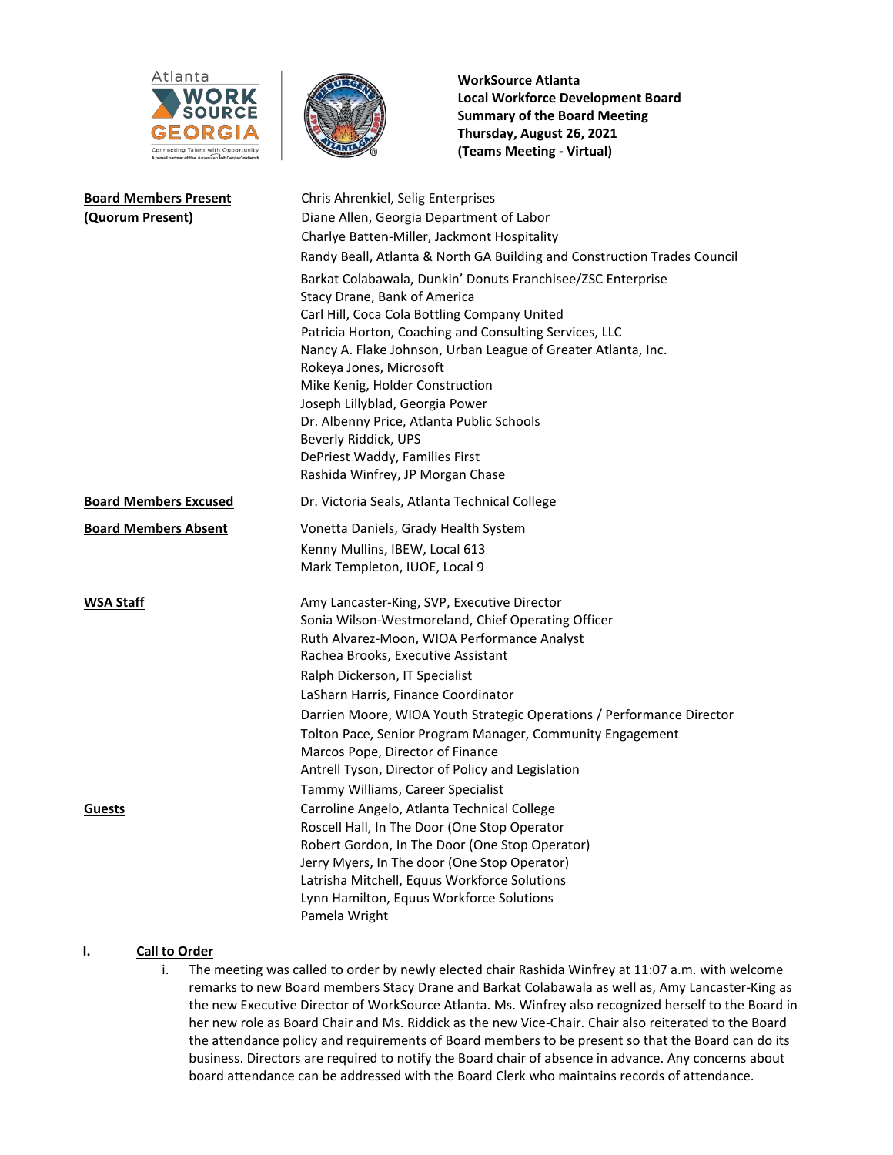



| <b>Board Members Present</b> | Chris Ahrenkiel, Selig Enterprises                                                          |
|------------------------------|---------------------------------------------------------------------------------------------|
| (Quorum Present)             | Diane Allen, Georgia Department of Labor                                                    |
|                              | Charlye Batten-Miller, Jackmont Hospitality                                                 |
|                              | Randy Beall, Atlanta & North GA Building and Construction Trades Council                    |
|                              | Barkat Colabawala, Dunkin' Donuts Franchisee/ZSC Enterprise                                 |
|                              | Stacy Drane, Bank of America                                                                |
|                              | Carl Hill, Coca Cola Bottling Company United                                                |
|                              | Patricia Horton, Coaching and Consulting Services, LLC                                      |
|                              | Nancy A. Flake Johnson, Urban League of Greater Atlanta, Inc.                               |
|                              | Rokeya Jones, Microsoft<br>Mike Kenig, Holder Construction                                  |
|                              | Joseph Lillyblad, Georgia Power                                                             |
|                              | Dr. Albenny Price, Atlanta Public Schools                                                   |
|                              | Beverly Riddick, UPS                                                                        |
|                              | DePriest Waddy, Families First                                                              |
|                              | Rashida Winfrey, JP Morgan Chase                                                            |
| <b>Board Members Excused</b> | Dr. Victoria Seals, Atlanta Technical College                                               |
| <b>Board Members Absent</b>  | Vonetta Daniels, Grady Health System                                                        |
|                              | Kenny Mullins, IBEW, Local 613                                                              |
|                              | Mark Templeton, IUOE, Local 9                                                               |
| WSA Staff                    | Amy Lancaster-King, SVP, Executive Director                                                 |
|                              | Sonia Wilson-Westmoreland, Chief Operating Officer                                          |
|                              | Ruth Alvarez-Moon, WIOA Performance Analyst                                                 |
|                              | Rachea Brooks, Executive Assistant                                                          |
|                              | Ralph Dickerson, IT Specialist                                                              |
|                              | LaSharn Harris, Finance Coordinator                                                         |
|                              | Darrien Moore, WIOA Youth Strategic Operations / Performance Director                       |
|                              | Tolton Pace, Senior Program Manager, Community Engagement                                   |
|                              | Marcos Pope, Director of Finance                                                            |
|                              | Antrell Tyson, Director of Policy and Legislation                                           |
|                              | Tammy Williams, Career Specialist                                                           |
| <b>Guests</b>                | Carroline Angelo, Atlanta Technical College<br>Roscell Hall, In The Door (One Stop Operator |
|                              | Robert Gordon, In The Door (One Stop Operator)                                              |
|                              | Jerry Myers, In The door (One Stop Operator)                                                |
|                              | Latrisha Mitchell, Equus Workforce Solutions                                                |
|                              | Lynn Hamilton, Equus Workforce Solutions                                                    |
|                              | Pamela Wright                                                                               |

### **I. Call to Order**

i. The meeting was called to order by newly elected chair Rashida Winfrey at 11:07 a.m. with welcome remarks to new Board members Stacy Drane and Barkat Colabawala as well as, Amy Lancaster-King as the new Executive Director of WorkSource Atlanta. Ms. Winfrey also recognized herself to the Board in her new role as Board Chair and Ms. Riddick as the new Vice-Chair. Chair also reiterated to the Board the attendance policy and requirements of Board members to be present so that the Board can do its business. Directors are required to notify the Board chair of absence in advance. Any concerns about board attendance can be addressed with the Board Clerk who maintains records of attendance.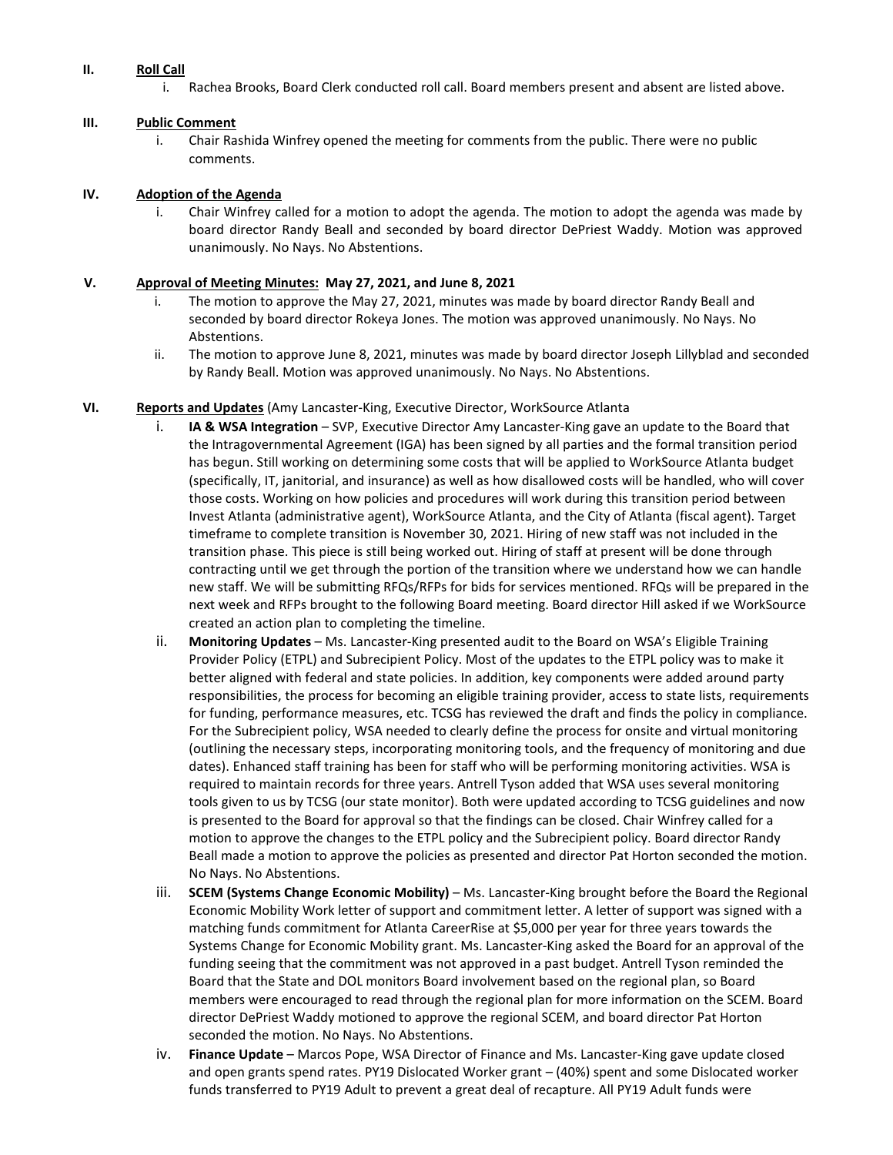## **II. Roll Call**

i. Rachea Brooks, Board Clerk conducted roll call. Board members present and absent are listed above.

# **III. Public Comment**

i. Chair Rashida Winfrey opened the meeting for comments from the public. There were no public comments.

# **IV. Adoption of the Agenda**

Chair Winfrey called for a motion to adopt the agenda. The motion to adopt the agenda was made by board director Randy Beall and seconded by board director DePriest Waddy. Motion was approved unanimously. No Nays. No Abstentions.

## **V. Approval of Meeting Minutes: May 27, 2021, and June 8, 2021**

- i. The motion to approve the May 27, 2021, minutes was made by board director Randy Beall and seconded by board director Rokeya Jones. The motion was approved unanimously. No Nays. No Abstentions.
- ii. The motion to approve June 8, 2021, minutes was made by board director Joseph Lillyblad and seconded by Randy Beall. Motion was approved unanimously. No Nays. No Abstentions.

## **VI. Reports and Updates** (Amy Lancaster-King, Executive Director, WorkSource Atlanta

- i. **IA & WSA Integration** SVP, Executive Director Amy Lancaster-King gave an update to the Board that the Intragovernmental Agreement (IGA) has been signed by all parties and the formal transition period has begun. Still working on determining some costs that will be applied to WorkSource Atlanta budget (specifically, IT, janitorial, and insurance) as well as how disallowed costs will be handled, who will cover those costs. Working on how policies and procedures will work during this transition period between Invest Atlanta (administrative agent), WorkSource Atlanta, and the City of Atlanta (fiscal agent). Target timeframe to complete transition is November 30, 2021. Hiring of new staff was not included in the transition phase. This piece is still being worked out. Hiring of staff at present will be done through contracting until we get through the portion of the transition where we understand how we can handle new staff. We will be submitting RFQs/RFPs for bids for services mentioned. RFQs will be prepared in the next week and RFPs brought to the following Board meeting. Board director Hill asked if we WorkSource created an action plan to completing the timeline.
- ii. **Monitoring Updates** Ms. Lancaster-King presented audit to the Board on WSA's Eligible Training Provider Policy (ETPL) and Subrecipient Policy. Most of the updates to the ETPL policy was to make it better aligned with federal and state policies. In addition, key components were added around party responsibilities, the process for becoming an eligible training provider, access to state lists, requirements for funding, performance measures, etc. TCSG has reviewed the draft and finds the policy in compliance. For the Subrecipient policy, WSA needed to clearly define the process for onsite and virtual monitoring (outlining the necessary steps, incorporating monitoring tools, and the frequency of monitoring and due dates). Enhanced staff training has been for staff who will be performing monitoring activities. WSA is required to maintain records for three years. Antrell Tyson added that WSA uses several monitoring tools given to us by TCSG (our state monitor). Both were updated according to TCSG guidelines and now is presented to the Board for approval so that the findings can be closed. Chair Winfrey called for a motion to approve the changes to the ETPL policy and the Subrecipient policy. Board director Randy Beall made a motion to approve the policies as presented and director Pat Horton seconded the motion. No Nays. No Abstentions.
- iii. **SCEM (Systems Change Economic Mobility)**  Ms. Lancaster-King brought before the Board the Regional Economic Mobility Work letter of support and commitment letter. A letter of support was signed with a matching funds commitment for Atlanta CareerRise at \$5,000 per year for three years towards the Systems Change for Economic Mobility grant. Ms. Lancaster-King asked the Board for an approval of the funding seeing that the commitment was not approved in a past budget. Antrell Tyson reminded the Board that the State and DOL monitors Board involvement based on the regional plan, so Board members were encouraged to read through the regional plan for more information on the SCEM. Board director DePriest Waddy motioned to approve the regional SCEM, and board director Pat Horton seconded the motion. No Nays. No Abstentions.
- iv. **Finance Update**  Marcos Pope, WSA Director of Finance and Ms. Lancaster-King gave update closed and open grants spend rates. PY19 Dislocated Worker grant – (40%) spent and some Dislocated worker funds transferred to PY19 Adult to prevent a great deal of recapture. All PY19 Adult funds were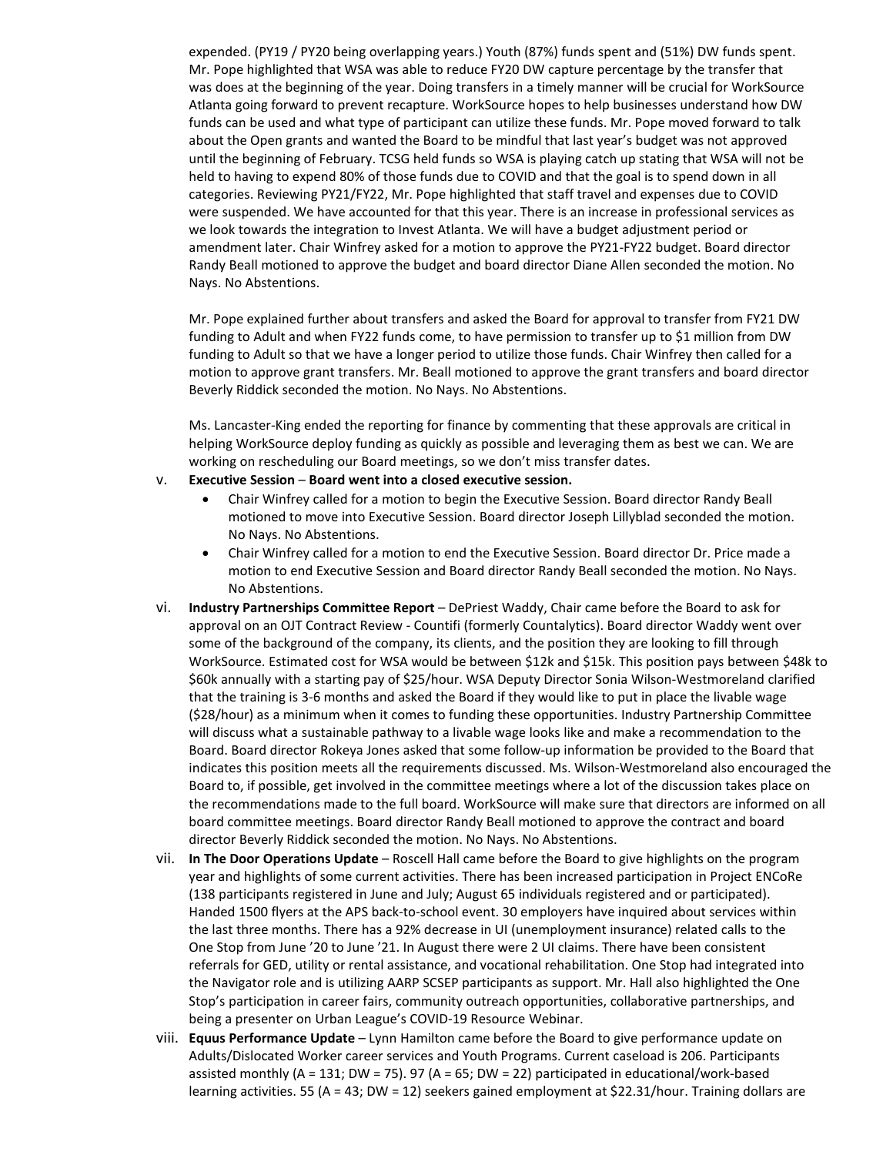expended. (PY19 / PY20 being overlapping years.) Youth (87%) funds spent and (51%) DW funds spent. Mr. Pope highlighted that WSA was able to reduce FY20 DW capture percentage by the transfer that was does at the beginning of the year. Doing transfers in a timely manner will be crucial for WorkSource Atlanta going forward to prevent recapture. WorkSource hopes to help businesses understand how DW funds can be used and what type of participant can utilize these funds. Mr. Pope moved forward to talk about the Open grants and wanted the Board to be mindful that last year's budget was not approved until the beginning of February. TCSG held funds so WSA is playing catch up stating that WSA will not be held to having to expend 80% of those funds due to COVID and that the goal is to spend down in all categories. Reviewing PY21/FY22, Mr. Pope highlighted that staff travel and expenses due to COVID were suspended. We have accounted for that this year. There is an increase in professional services as we look towards the integration to Invest Atlanta. We will have a budget adjustment period or amendment later. Chair Winfrey asked for a motion to approve the PY21-FY22 budget. Board director Randy Beall motioned to approve the budget and board director Diane Allen seconded the motion. No Nays. No Abstentions.

Mr. Pope explained further about transfers and asked the Board for approval to transfer from FY21 DW funding to Adult and when FY22 funds come, to have permission to transfer up to \$1 million from DW funding to Adult so that we have a longer period to utilize those funds. Chair Winfrey then called for a motion to approve grant transfers. Mr. Beall motioned to approve the grant transfers and board director Beverly Riddick seconded the motion. No Nays. No Abstentions.

Ms. Lancaster-King ended the reporting for finance by commenting that these approvals are critical in helping WorkSource deploy funding as quickly as possible and leveraging them as best we can. We are working on rescheduling our Board meetings, so we don't miss transfer dates.

### v. **Executive Session** – **Board went into a closed executive session.**

- Chair Winfrey called for a motion to begin the Executive Session. Board director Randy Beall motioned to move into Executive Session. Board director Joseph Lillyblad seconded the motion. No Nays. No Abstentions.
- Chair Winfrey called for a motion to end the Executive Session. Board director Dr. Price made a motion to end Executive Session and Board director Randy Beall seconded the motion. No Nays. No Abstentions.
- vi. **Industry Partnerships Committee Report**  DePriest Waddy, Chair came before the Board to ask for approval on an OJT Contract Review - Countifi (formerly Countalytics). Board director Waddy went over some of the background of the company, its clients, and the position they are looking to fill through WorkSource. Estimated cost for WSA would be between \$12k and \$15k. This position pays between \$48k to \$60k annually with a starting pay of \$25/hour. WSA Deputy Director Sonia Wilson-Westmoreland clarified that the training is 3-6 months and asked the Board if they would like to put in place the livable wage (\$28/hour) as a minimum when it comes to funding these opportunities. Industry Partnership Committee will discuss what a sustainable pathway to a livable wage looks like and make a recommendation to the Board. Board director Rokeya Jones asked that some follow-up information be provided to the Board that indicates this position meets all the requirements discussed. Ms. Wilson-Westmoreland also encouraged the Board to, if possible, get involved in the committee meetings where a lot of the discussion takes place on the recommendations made to the full board. WorkSource will make sure that directors are informed on all board committee meetings. Board director Randy Beall motioned to approve the contract and board director Beverly Riddick seconded the motion. No Nays. No Abstentions.
- vii. **In The Door Operations Update**  Roscell Hall came before the Board to give highlights on the program year and highlights of some current activities. There has been increased participation in Project ENCoRe (138 participants registered in June and July; August 65 individuals registered and or participated). Handed 1500 flyers at the APS back-to-school event. 30 employers have inquired about services within the last three months. There has a 92% decrease in UI (unemployment insurance) related calls to the One Stop from June '20 to June '21. In August there were 2 UI claims. There have been consistent referrals for GED, utility or rental assistance, and vocational rehabilitation. One Stop had integrated into the Navigator role and is utilizing AARP SCSEP participants as support. Mr. Hall also highlighted the One Stop's participation in career fairs, community outreach opportunities, collaborative partnerships, and being a presenter on Urban League's COVID-19 Resource Webinar.
- viii. **Equus Performance Update**  Lynn Hamilton came before the Board to give performance update on Adults/Dislocated Worker career services and Youth Programs. Current caseload is 206. Participants assisted monthly (A = 131; DW = 75). 97 (A = 65; DW = 22) participated in educational/work-based learning activities. 55 (A = 43; DW = 12) seekers gained employment at \$22.31/hour. Training dollars are